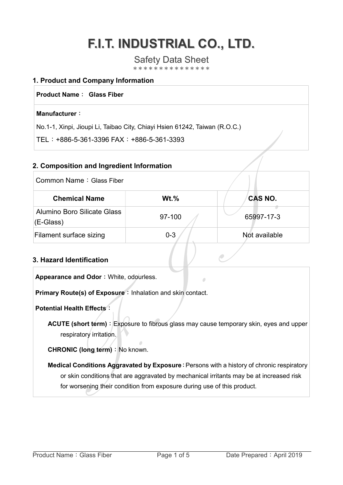### Safety Data Sheet

\*\*\*\*\*\*\*\*\*\*\*\*\*\*\*

#### 1. Product and Company Information

#### Product Name: Glass Fiber

#### Manufacturer:

No.1-1, Xinpi, Jioupi Li, Taibao City, Chiayi Hsien 61242, Taiwan (R.O.C.)

TEL:+886-5-361-3396 FAX:+886-5-361-3393

#### 2. Composition and Ingredient Information

| Common Name: Glass Fiber                        |         |                |  |
|-------------------------------------------------|---------|----------------|--|
| <b>Chemical Name</b>                            | $Wt.\%$ | <b>CAS NO.</b> |  |
| <b>Alumino Boro Silicate Glass</b><br>(E-Glass) | 97-100  | 65997-17-3     |  |
| Filament surface sizing                         | $0 - 3$ | Not available  |  |
| 3. Hazard Identification                        |         |                |  |

#### 3. Hazard Identification

| Appearance and Odor: White, odourless.                                                          |  |  |  |  |
|-------------------------------------------------------------------------------------------------|--|--|--|--|
| Primary Route(s) of Exposure: Inhalation and skin contact.                                      |  |  |  |  |
| <b>Potential Health Effects:</b>                                                                |  |  |  |  |
| <b>ACUTE (short term)</b> : Exposure to fibrous glass may cause temporary skin, eyes and upper  |  |  |  |  |
| respiratory irritation.                                                                         |  |  |  |  |
| <b>CHRONIC (long term):</b> No known.                                                           |  |  |  |  |
| <b>Medical Conditions Aggravated by Exposure: Persons with a history of chronic respiratory</b> |  |  |  |  |
| or skin conditions that are aggravated by mechanical irritants may be at increased risk         |  |  |  |  |
| for worsening their condition from exposure during use of this product.                         |  |  |  |  |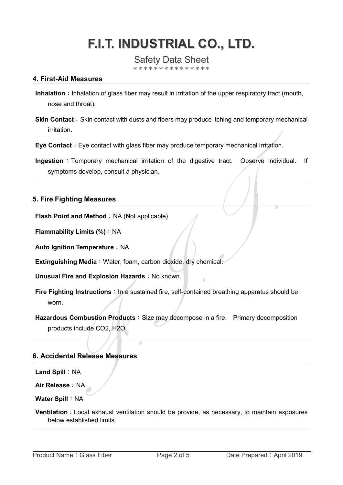### Safety Data Sheet

\*\*\*\*\*\*\*\*\*\*\*\*\*

#### 4. First-Aid Measures

Inhalation: Inhalation of glass fiber may result in irritation of the upper respiratory tract (mouth, nose and throat).

Skin Contact: Skin contact with dusts and fibers may produce itching and temporary mechanical irritation.

Eye Contact: Eye contact with glass fiber may produce temporary mechanical irritation.

Ingestion: Temporary mechanical irritation of the digestive tract. Observe individual. If symptoms develop, consult a physician.

#### 5. Fire Fighting Measures

Flash Point and Method: NA (Not applicable)

Flammability Limits (%): NA

Auto Ignition Temperature: NA

Extinguishing Media: Water, foam, carbon dioxide, dry chemical.

Ä

Unusual Fire and Explosion Hazards: No known.

Fire Fighting Instructions: In a sustained fire, self-contained breathing apparatus should be worn.

Hazardous Combustion Products: Size may decompose in a fire. Primary decomposition products include CO2, H2O.

#### 6. Accidental Release Measures

Land Spill: NA

Air Release: NA

Water Spill: NA

Ventilation: Local exhaust ventilation should be provide, as necessary, to maintain exposures below established limits.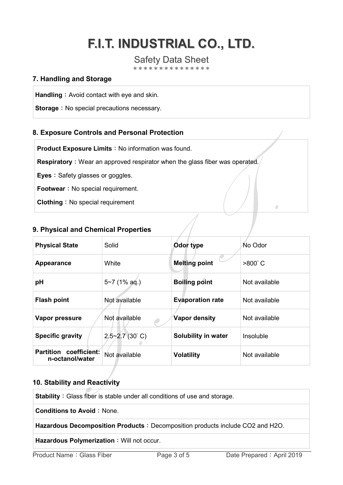### Safety Data Sheet

\*\*\*\*\*\*\*\*\*\*\*\*\*

#### 7. Handling and Storage

Handling: Avoid contact with eye and skin.

Storage: No special precautions necessary.

#### 8. Exposure Controls and Personal Protection

**Product Exposure Limits: No information was found.** 

Respiratory: Wear an approved respirator when the glass fiber was operated.

Eyes: Safety glasses or goggles.

Footwear: No special requirement.

Clothing: No special requirement

#### 9. Physical and Chemical Properties

| <b>Physical State</b>                        | Solid                 | Odor type               | No Odor        |
|----------------------------------------------|-----------------------|-------------------------|----------------|
| <b>Appearance</b>                            | White                 | <b>Melting point</b>    | $>800^\circ$ C |
| pH                                           | $5 - 7$ (1% aq.)      | <b>Boiling point</b>    | Not available  |
| <b>Flash point</b>                           | Not available         | <b>Evaporation rate</b> | Not available  |
| Vapor pressure                               | Not available         | Vapor density           | Not available  |
| <b>Specific gravity</b>                      | $2.5 \sim 2.7$ (30°C) | Solubility in water     | Insoluble      |
| coefficient:<br>Partition<br>n-octanol/water | Not available         | <b>Volatility</b>       | Not available  |

#### 10. Stability and Reactivity

Stability: Glass fiber is stable under all conditions of use and storage.

Conditions to Avoid: None.

Hazardous Decomposition Products: Decomposition products include CO2 and H2O.

Hazardous Polymerization: Will not occur.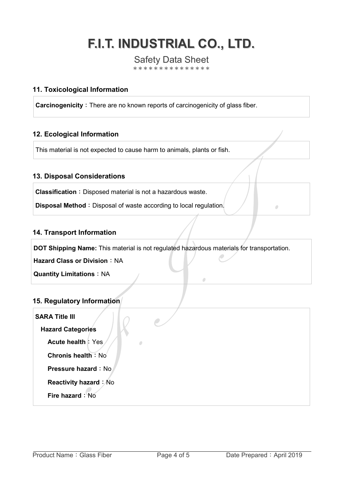### Safety Data Sheet

\*\*\*\*\*\*\*\*\*\*\*\*\*

#### 11. Toxicological Information

Carcinogenicity: There are no known reports of carcinogenicity of glass fiber.

#### 12. Ecological Information

This material is not expected to cause harm to animals, plants or fish.

#### 13. Disposal Considerations

Classification: Disposed material is not a hazardous waste.

Disposal Method: Disposal of waste according to local regulation.

#### 14. Transport Information

DOT Shipping Name: This material is not regulated hazardous materials for transportation.

Hazard Class or Division: NA

Quantity Limitations:NA

#### 15. Regulatory Information

| <b>SARA Title III</b>     |  |
|---------------------------|--|
| <b>Hazard Categories</b>  |  |
| <b>Acute health: Yes</b>  |  |
| <b>Chronis health: No</b> |  |
| Pressure hazard: No       |  |
| Reactivity hazard : No    |  |
| Fire hazard: No           |  |

Ò

 $\overline{\phantom{a}}$